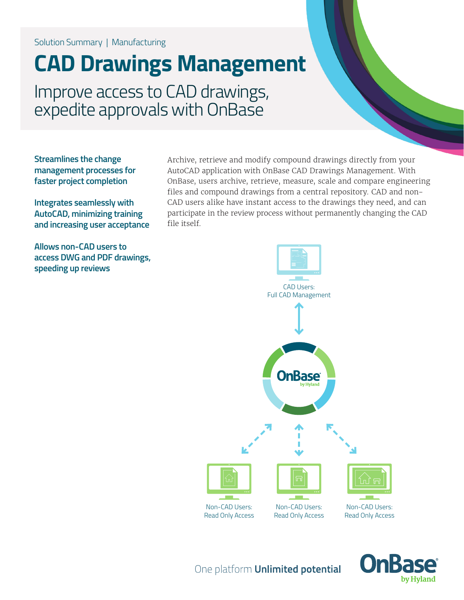Solution Summary | Manufacturing

## **CAD Drawings Management**

Improve access to CAD drawings, expedite approvals with OnBase

**Streamlines the change management processes for faster project completion**

**Integrates seamlessly with AutoCAD, minimizing training and increasing user acceptance**

**Allows non-CAD users to access DWG and PDF drawings, speeding up reviews**

Archive, retrieve and modify compound drawings directly from your AutoCAD application with OnBase CAD Drawings Management. With OnBase, users archive, retrieve, measure, scale and compare engineering files and compound drawings from a central repository. CAD and non-CAD users alike have instant access to the drawings they need, and can participate in the review process without permanently changing the CAD file itself.





One platform **Unlimited potential**